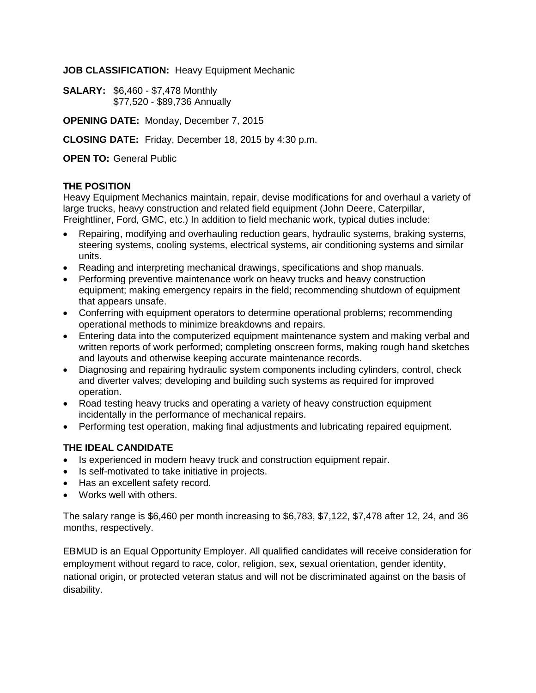**JOB CLASSIFICATION:** Heavy Equipment Mechanic

**SALARY:** \$6,460 - \$7,478 Monthly \$77,520 - \$89,736 Annually

**OPENING DATE:** Monday, December 7, 2015

**CLOSING DATE:** Friday, December 18, 2015 by 4:30 p.m.

**OPEN TO:** General Public

## **THE POSITION**

Heavy Equipment Mechanics maintain, repair, devise modifications for and overhaul a variety of large trucks, heavy construction and related field equipment (John Deere, Caterpillar, Freightliner, Ford, GMC, etc.) In addition to field mechanic work, typical duties include:

- Repairing, modifying and overhauling reduction gears, hydraulic systems, braking systems, steering systems, cooling systems, electrical systems, air conditioning systems and similar units.
- Reading and interpreting mechanical drawings, specifications and shop manuals.
- Performing preventive maintenance work on heavy trucks and heavy construction equipment; making emergency repairs in the field; recommending shutdown of equipment that appears unsafe.
- Conferring with equipment operators to determine operational problems; recommending operational methods to minimize breakdowns and repairs.
- Entering data into the computerized equipment maintenance system and making verbal and written reports of work performed; completing onscreen forms, making rough hand sketches and layouts and otherwise keeping accurate maintenance records.
- Diagnosing and repairing hydraulic system components including cylinders, control, check and diverter valves; developing and building such systems as required for improved operation.
- Road testing heavy trucks and operating a variety of heavy construction equipment incidentally in the performance of mechanical repairs.
- Performing test operation, making final adjustments and lubricating repaired equipment.

## **THE IDEAL CANDIDATE**

- Is experienced in modern heavy truck and construction equipment repair.
- Is self-motivated to take initiative in projects.
- Has an excellent safety record.
- Works well with others.

The salary range is \$6,460 per month increasing to \$6,783, \$7,122, \$7,478 after 12, 24, and 36 months, respectively.

EBMUD is an Equal Opportunity Employer. All qualified candidates will receive consideration for employment without regard to race, color, religion, sex, sexual orientation, gender identity, national origin, or protected veteran status and will not be discriminated against on the basis of disability.